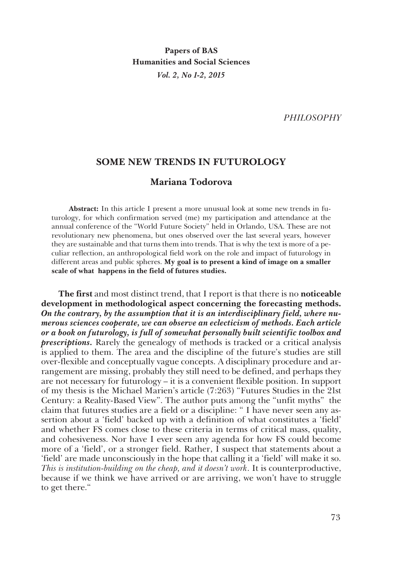**Papers of BAS Humanities and Social Sciences** *Vol. 2, No 1-2, 2015*

*PHILOSOPHY*

## **SOME NEW TRENDS IN FUTUROLOGY**

# **Mariana Todorova**

**Abstract:** In this article I present a more unusual look at some new trends in futurology, for which confirmation served (me) my participation and attendance at the annual conference of the "World Future Society" held in Orlando, USA. These are not revolutionary new phenomena, but ones observed over the last several years, however they are sustainable and that turns them into trends. That is why the text is more of a peculiar reflection, an anthropological field work on the role and impact of futurology in different areas and public spheres. **My goal is to present a kind of image on a smaller scale of what happens in the field of futures studies.** 

**The first** and most distinct trend, that I report is that there is no **noticeable development in methodological aspect concerning the forecasting methods.**  *On the contrary, by the assumption that it is an interdisciplinary field, where numerous sciences cooperate, we can observe an eclecticism of methods. Each article or a book on futurology, is full of somewhat personally built scientific toolbox and prescriptions.* Rarely the genealogy of methods is tracked or a critical analysis is applied to them. The area and the discipline of the future's studies are still over-flexible and conceptually vague concepts. A disciplinary procedure and arrangement are missing, probably they still need to be defined, and perhaps they are not necessary for futurology – it is a convenient flexible position. In support of my thesis is the Michael Marien's article (7:263) "Futures Studies in the 21st Century: a Reality-Based View". The author puts among the "unfit myths" the claim that futures studies are a field or a discipline: " I have never seen any assertion about a 'field' backed up with a definition of what constitutes a 'field' and whether FS comes close to these criteria in terms of critical mass, quality, and cohesiveness. Nor have I ever seen any agenda for how FS could become more of a 'field', or a stronger field. Rather, I suspect that statements about a 'field' are made unconsciously in the hope that calling it a 'field' will make it so. *This is institution-building on the cheap, and it doesn't work*. It is counterproductive, because if we think we have arrived or are arriving, we won't have to struggle to get there."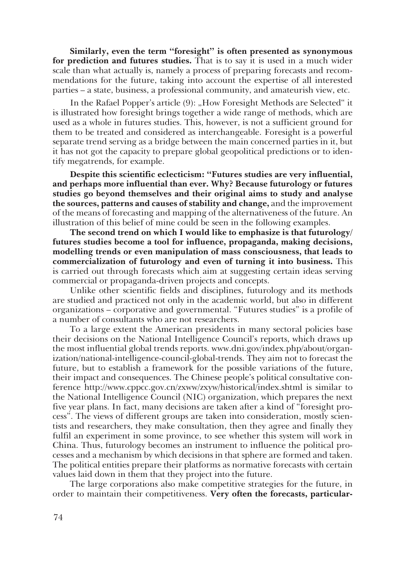**Similarly, even the term "foresight" is often presented as synonymous for prediction and futures studies.** That is to say it is used in a much wider scale than what actually is, namely a process of preparing forecasts and recommendations for the future, taking into account the expertise of all interested parties – a state, business, a professional community, and amateurish view, etc.

In the Rafael Popper's article (9): "How Foresight Methods are Selected" it is illustrated how foresight brings together a wide range of methods, which are used as a whole in futures studies. This, however, is not a sufficient ground for them to be treated and considered as interchangeable. Foresight is a powerful separate trend serving as a bridge between the main concerned parties in it, but it has not got the capacity to prepare global geopolitical predictions or to identify megatrends, for example.

**Despite this scientific eclecticism: "Futures studies are very influential, and perhaps more influential than ever. Why? Because futurology or futures studies go beyond themselves and their original aims to study and analyse the sources, patterns and causes of stability and change,** and the improvement of the means of forecasting and mapping of the alternativeness of the future. An illustration of this belief of mine could be seen in the following examples.

**The second trend on which I would like to emphasize is that futurology/ futures studies become a tool for influence, propaganda, making decisions, modelling trends or even manipulation of mass consciousness, that leads to commercialization of futurology and even of turning it into business.** This is carried out through forecasts which aim at suggesting certain ideas serving commercial or propaganda-driven projects and concepts.

Unlike other scientific fields and disciplines, futurology and its methods are studied and practiced not only in the academic world, but also in different organizations – corporative and governmental. "Futures studies" is a profile of a number of consultants who are not researchers.

To a large extent the American presidents in many sectoral policies base their decisions on the National Intelligence Council's reports, which draws up the most influential global trends reports. www.dni.gov/index.php/about/organization/national-intelligence-council-global-trends. They aim not to forecast the future, but to establish a framework for the possible variations of the future, their impact and consequences. The Chinese people's political consultative conference http://www.cppcc.gov.cn/zxww/zxyw/historical/index.shtml is similar to the National Intelligence Council (NIC) organization, which prepares the next five year plans. In fact, many decisions are taken after a kind of "foresight process". The views of different groups are taken into consideration, mostly scientists and researchers, they make consultation, then they agree and finally they fulfil an experiment in some province, to see whether this system will work in China. Thus, futurology becomes an instrument to influence the political processes and a mechanism by which decisions in that sphere are formed and taken. The political entities prepare their platforms as normative forecasts with certain values laid down in them that they project into the future.

The large corporations also make competitive strategies for the future, in order to maintain their competitiveness. **Very often the forecasts, particular-**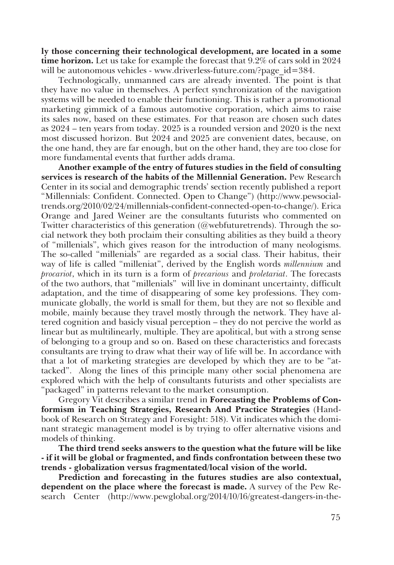**ly those concerning their technological development, are located in a some time horizon.** Let us take for example the forecast that 9.2% of cars sold in 2024 will be autonomous vehicles - www.driverless-future.com/?page  $id=384$ .

Technologically, unmanned cars are already invented. The point is that they have no value in themselves. A perfect synchronization of the navigation systems will be needed to enable their functioning. This is rather a promotional marketing gimmick of a famous automotive corporation, which aims to raise its sales now, based on these estimates. For that reason are chosen such dates as 2024 – ten years from today. 2025 is a rounded version and 2020 is the next most discussed horizon. But 2024 and 2025 are convenient dates, because, on the one hand, they are far enough, but on the other hand, they are too close for more fundamental events that further adds drama.

**Another example of the entry of futures studies in the field of consulting services is research of the habits of the Millennial Generation.** Pew Research Center in its social and demographic trends' section recently published a report "Millennials: Confident. Connected. Open to Change") (http://www.pewsocialtrends.org/2010/02/24/millennials-confident-connected-open-to-change/). Erica Orange and Jared Weiner are the consultants futurists who commented on Twitter characteristics of this generation (@webfuturetrends). Through the social network they both proclaim their consulting abilities as they build a theory of "millenials", which gives reason for the introduction of many neologisms. The so-called "millenials" are regarded as a social class. Their habitus, their way of life is called "milleniat", derived by the English words *millennium* and *procariot*, which in its turn is a form of *precarious* and *proletariat*. The forecasts of the two authors, that "millenials" will live in dominant uncertainty, difficult adaptation, and the time of disappearing of some key professions. They communicate globally, the world is small for them, but they are not so flexible and mobile, mainly because they travel mostly through the network. They have altered cognition and basicly visual perception – they do not percive the world as linear but as multilinearly, multiple. They are apolitical, but with a strong sense of belonging to a group and so on. Based on these characteristics and forecasts consultants are trying to draw what their way of life will be. In accordance with that a lot of marketing strategies are developed by which they are to be "attacked". Along the lines of this principle many other social phenomena are explored which with the help of consultants futurists and other specialists are "packaged" in patterns relevant to the market consumption.

Gregory Vit describes a similar trend in **Forecasting the Problems of Conformism in Teaching Strategies, Research And Practice Strategies** (Handbook of Research on Strategy and Foresight: 518). Vit indicates which the dominant strategic management model is by trying to offer alternative visions and models of thinking.

**The third trend seeks answers to the question what the future will be like - if it will be global or fragmented, and finds confrontation between these two trends - globalization versus fragmentated/local vision of the world.**

**Prediction and forecasting in the futures studies are also contextual, dependent on the place where the forecast is made.** A survey of the Pew Research Center (http://www.pewglobal.org/2014/10/16/greatest-dangers-in-the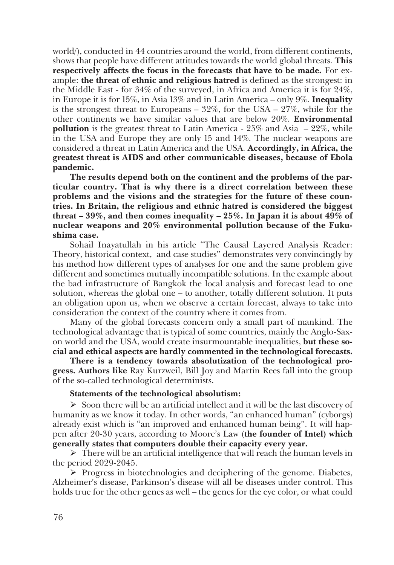world/), conducted in 44 countries around the world, from different continents, shows that people have different attitudes towards the world global threats. **This respectively affects the focus in the forecasts that have to be made.** For example: **the threat of ethnic and religious hatred** is defined as the strongest: in the Middle East - for 34% of the surveyed, in Africa and America it is for 24%, in Europe it is for 15%, in Asia 13% and in Latin America – only 9%. **Inequality** is the strongest threat to Europeans –  $32\%$ , for the USA –  $27\%$ , while for the other continents we have similar values that are below 20%. **Environmental pollution** is the greatest threat to Latin America - 25% and Asia – 22%, while in the USA and Europe they are only 15 and 14%. The nuclear weapons are considered a threat in Latin America and the USA. **Accordingly, in Africa, the greatest threat is AIDS and other communicable diseases, because of Ebola pandemic.**

**The results depend both on the continent and the problems of the particular country. That is why there is a direct correlation between these problems and the visions and the strategies for the future of these countries. In Britain, the religious and ethnic hatred is considered the biggest threat – 39%, and then comes inequality – 25%. In Japan it is about 49% of nuclear weapons and 20% environmental pollution because of the Fukushima case.**

Sohail Inayatullah in his article "The Causal Layered Analysis Reader: Theory, historical context, and case studies" demonstrates very convincingly by his method how different types of analyses for one and the same problem give different and sometimes mutually incompatible solutions. In the example about the bad infrastructure of Bangkok the local analysis and forecast lead to one solution, whereas the global one – to another, totally different solution. It puts an obligation upon us, when we observe a certain forecast, always to take into consideration the context of the country where it comes from.

Many of the global forecasts concern only a small part of mankind. The technological advantage that is typical of some countries, mainly the Anglo-Saxon world and the USA, would create insurmountable inequalities, **but these social and ethical aspects are hardly commented in the technological forecasts.**

**There is a tendency towards absolutization of the technological progress. Authors like** Ray Kurzweil, Bill Joy and Martin Rees fall into the group of the so-called technological determinists.

### **Statements of the technological absolutism:**

 $\triangleright$  Soon there will be an artificial intellect and it will be the last discovery of humanity as we know it today. In other words, "an enhanced human" (cyborgs) already exist which is "an improved and enhanced human being". It will happen after 20-30 years, according to Moore's Law (**the founder of Intel) which generally states that computers double their capacity every year.**

 $\triangleright$  There will be an artificial intelligence that will reach the human levels in the period 2029-2045.

 $\triangleright$  Progress in biotechnologies and deciphering of the genome. Diabetes, Alzheimer's disease, Parkinson's disease will all be diseases under control. This holds true for the other genes as well – the genes for the eye color, or what could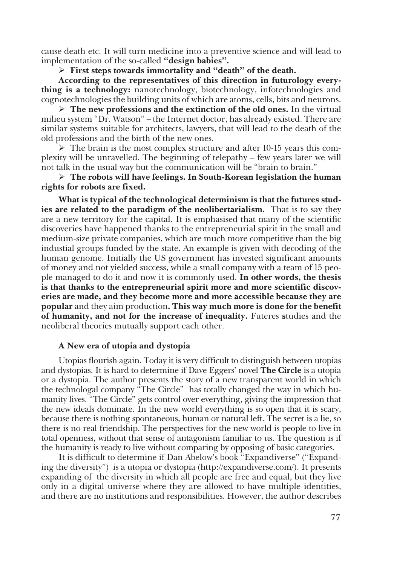cause death etc. It will turn medicine into a preventive science and will lead to implementation of the so-called **"design babies".**

#### **First steps towards immortality and "death" of the death.**

**According to the representatives of this direction in futurology everything is a technology:** nanotechnology, biotechnology, infotechnologies and cognotechnologies the building units of which are atoms, cells, bits and neurons.

 **The new professions and the extinction of the old ones.** In the virtual milieu system "Dr. Watson" – the Internet doctor, has already existed. There are similar systems suitable for architects, lawyers, that will lead to the death of the old professions and the birth of the new ones.

 $\triangleright$  The brain is the most complex structure and after 10-15 years this complexity will be unravelled. The beginning of telepathy – few years later we will not talk in the usual way but the communication will be "brain to brain."

 **The robots will have feelings. In South-Korean legislation the human rights for robots are fixed.** 

**What is typical of the technological determinism is that the futures studies are related to the paradigm of the neolibertarialism.** That is to say they are a new territory for the capital. It is emphasised that many of the scientific discoveries have happened thanks to the entrepreneurial spirit in the small and medium-size private companies, which are much more competitive than the big industial groups funded by the state. An example is given with decoding of the human genome. Initially the US government has invested significant amounts of money and not yielded success, while a small company with a team of 15 people managed to do it and now it is commonly used. **In other words, the thesis is that thanks to the entrepreneurial spirit more and more scientific discoveries are made, and they become more and more accessible because they are popular** and they aim production**. This way much more is done for the benefit of humanity, and not for the increase of inequality.** Futeres **s**tudies and the neoliberal theories mutually support each other.

### **A New era of utopia and dystopia**

Utopias flourish again. Today it is very difficult to distinguish between utopias and dystopias. It is hard to determine if Dave Eggers' novel **The Circle** is a utopia or a dystopia. The author presents the story of a new transparent world in which the technologal company "The Circle" has totally changed the way in which humanity lives. "The Circle" gets control over everything, giving the impression that the new ideals dominate. In the new world everything is so open that it is scary, because there is nothing spontaneous, human or natural left. The secret is a lie, so there is no real friendship. The perspectives for the new world is people to live in total openness, without that sense of antagonism familiar to us. The question is if the humanity is ready to live without comparing by opposing of basic categories.

It is difficult to determine if Dan Abelow's book "Expandiverse" ("Expanding the diversity") is a utopia or dystopia (http://expandiverse.com/). It presents expanding of the diversity in which all people are free and equal, but they live only in a digital universe where they are allowed to have multiple identities, and there are no institutions and responsibilities. However, the author describes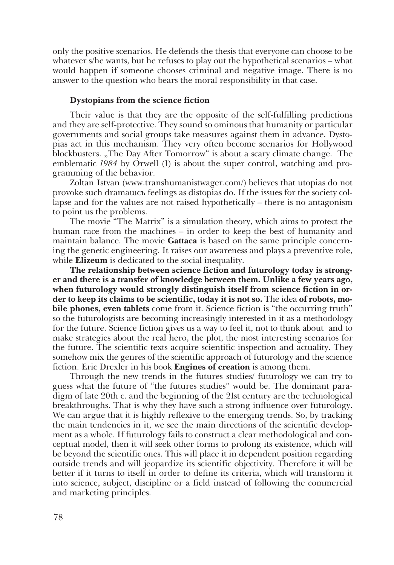only the positive scenarios. He defends the thesis that everyone can choose to be whatever s/he wants, but he refuses to play out the hypothetical scenarios – what would happen if someone chooses criminal and negative image. There is no answer to the question who bears the moral responsibility in that case.

#### **Dystopians from the science fiction**

Their value is that they are the opposite of the self-fulfilling predictions and they are self-protective. They sound so ominous that humanity or particular governments and social groups take measures against them in advance. Dystopias act in this mechanism. They very often become scenarios for Hollywood blockbusters. "The Day After Tomorrow" is about a scary climate change. The emblematic *1984* by Orwell (1) is about the super control, watching and programming of the behavior.

Zoltan Istvan (www.transhumanistwager.com/) believes that utopias do not provoke such dramaшсъ feelings as distopias do. If the issues for the society collapse and for the values are not raised hypothetically – there is no antagonism to point us the problems.

The movie "The Matrix" is a simulation theory, which aims to protect the human race from the machines – in order to keep the best of humanity and maintain balance. The movie **Gattaca** is based on the same principle concerning the genetic engineering. It raises our awareness and plays a preventive role, while **Elizeum** is dedicated to the social inequality.

**The relationship between science fiction and futurology today is stronger and there is a transfer of knowledge between them. Unlike a few years ago, when futurology would strongly distinguish itself from science fiction in order to keep its claims to be scientific, today it is not so.** The idea **of robots, mobile phones, even tablets** come from it. Science fiction is "the occurring truth" so the futurologists are becoming increasingly interested in it as a methodology for the future. Science fiction gives us a way to feel it, not to think about and to make strategies about the real hero, the plot, the most interesting scenarios for the future. The scientific texts acquire scientific inspection and actuality. They somehow mix the genres of the scientific approach of futurology and the science fiction. Eric Drexler in his book **Engines of creation** is among them.

Through the new trends in the futures studies/ futurology we can try to guess what the future of "the futures studies" would be. The dominant paradigm of late 20th c. and the beginning of the 21st century are the technological breakthroughs. That is why they have such a strong influence over futurology. We can argue that it is highly reflexive to the emerging trends. So, by tracking the main tendencies in it, we see the main directions of the scientific development as a whole. If futurology fails to construct a clear methodological and conceptual model, then it will seek other forms to prolong its existence, which will be beyond the scientific ones. This will place it in dependent position regarding outside trends and will jeopardize its scientific objectivity. Therefore it will be better if it turns to itself in order to define its criteria, which will transform it into science, subject, discipline or a field instead of following the commercial and marketing principles.